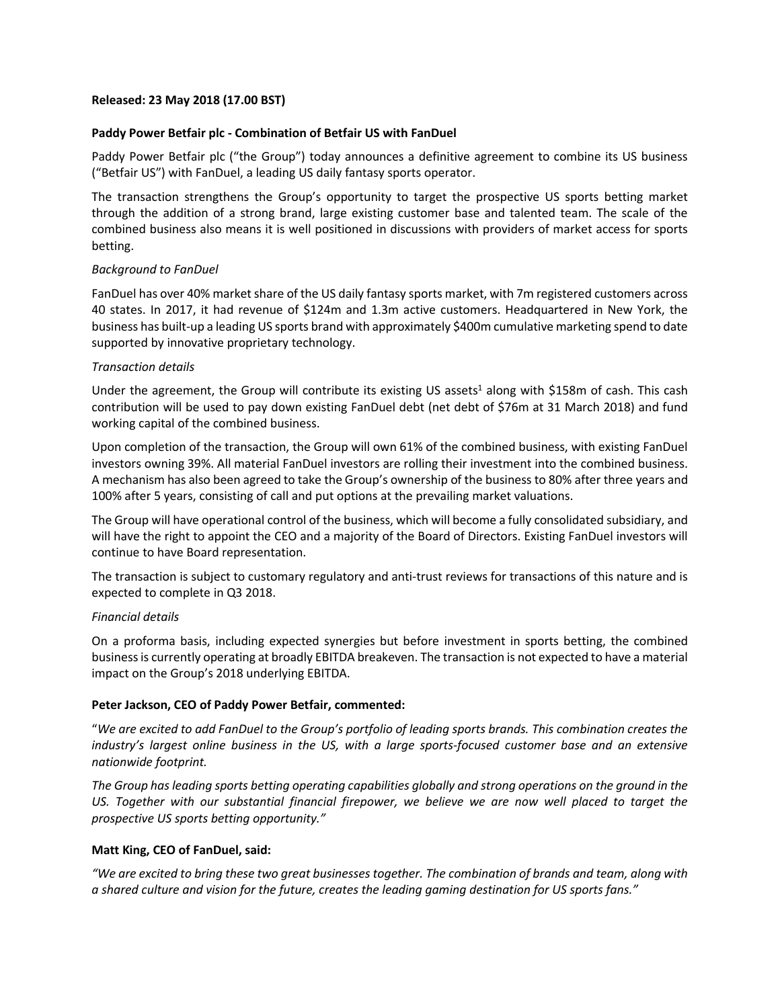### **Released: 23 May 2018 (17.00 BST)**

### **Paddy Power Betfair plc - Combination of Betfair US with FanDuel**

Paddy Power Betfair plc ("the Group") today announces a definitive agreement to combine its US business ("Betfair US") with FanDuel, a leading US daily fantasy sports operator.

The transaction strengthens the Group's opportunity to target the prospective US sports betting market through the addition of a strong brand, large existing customer base and talented team. The scale of the combined business also means it is well positioned in discussions with providers of market access for sports betting.

# *Background to FanDuel*

FanDuel has over 40% market share of the US daily fantasy sports market, with 7m registered customers across 40 states. In 2017, it had revenue of \$124m and 1.3m active customers. Headquartered in New York, the business has built-up a leading US sports brand with approximately \$400m cumulative marketing spend to date supported by innovative proprietary technology.

### *Transaction details*

Under the agreement, the Group will contribute its existing US assets<sup>1</sup> along with \$158m of cash. This cash contribution will be used to pay down existing FanDuel debt (net debt of \$76m at 31 March 2018) and fund working capital of the combined business.

Upon completion of the transaction, the Group will own 61% of the combined business, with existing FanDuel investors owning 39%. All material FanDuel investors are rolling their investment into the combined business. A mechanism has also been agreed to take the Group's ownership of the business to 80% after three years and 100% after 5 years, consisting of call and put options at the prevailing market valuations.

The Group will have operational control of the business, which will become a fully consolidated subsidiary, and will have the right to appoint the CEO and a majority of the Board of Directors. Existing FanDuel investors will continue to have Board representation.

The transaction is subject to customary regulatory and anti-trust reviews for transactions of this nature and is expected to complete in Q3 2018.

# *Financial details*

On a proforma basis, including expected synergies but before investment in sports betting, the combined business is currently operating at broadly EBITDA breakeven. The transaction is not expected to have a material impact on the Group's 2018 underlying EBITDA.

# **Peter Jackson, CEO of Paddy Power Betfair, commented:**

"*We are excited to add FanDuel to the Group's portfolio of leading sports brands. This combination creates the industry's largest online business in the US, with a large sports-focused customer base and an extensive nationwide footprint.* 

*The Group has leading sports betting operating capabilities globally and strong operations on the ground in the US. Together with our substantial financial firepower, we believe we are now well placed to target the prospective US sports betting opportunity."*

# **Matt King, CEO of FanDuel, said:**

*"We are excited to bring these two great businesses together. The combination of brands and team, along with a shared culture and vision for the future, creates the leading gaming destination for US sports fans."*